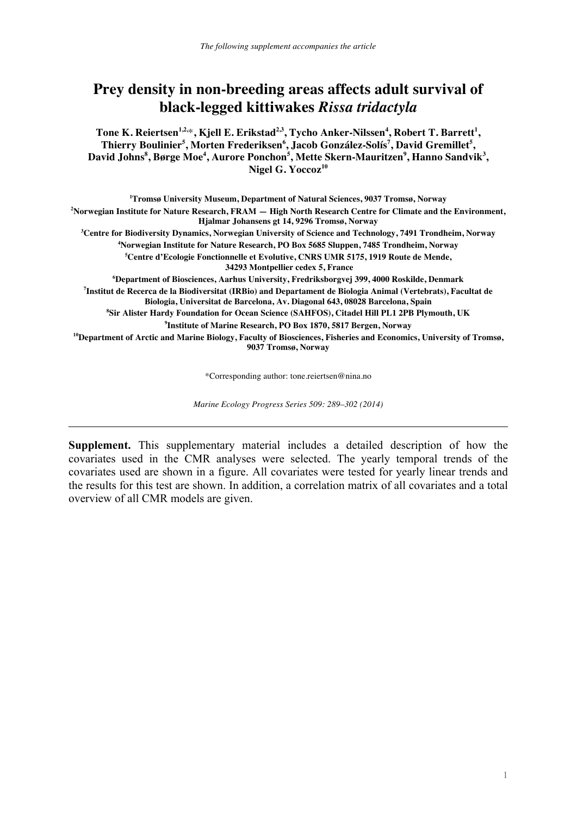## **Prey density in non-breeding areas affects adult survival of black-legged kittiwakes** *Rissa tridactyla*

**Tone K. Reiertsen1,2,**\***, Kjell E. Erikstad2,3, Tycho Anker-Nilssen4 , Robert T. Barrett<sup>1</sup> , Thierry Boulinier<sup>5</sup> , Morten Frederiksen<sup>6</sup> , Jacob González-Solís<sup>7</sup> , David Gremillet<sup>5</sup> , David Johns<sup>8</sup> , Børge Moe<sup>4</sup> , Aurore Ponchon<sup>5</sup> , Mette Skern-Mauritzen<sup>9</sup> , Hanno Sandvik<sup>3</sup> , Nigel G. Yoccoz<sup>10</sup>**

**1 Tromsø University Museum, Department of Natural Sciences, 9037 Tromsø, Norway 2 Norwegian Institute for Nature Research, FRAM — High North Research Centre for Climate and the Environment,**  Hjalmar Johansens gt 14, 9296 Tromsø, Norway<br><sup>3</sup>Contro for Biodiversity Dynamics, Norwagian University of Science and Techno Centre for Biodiversity Dynamics, Norwegian University of Science and Technology, 7491 Trondheim, Norway 48 Alexander 4 Alexander Institute for Noture Beseersh PO Box 5685 Sluppen 7485 Trondheim, Norway 48 Alexander **Norwegian Institute for Nature Research, PO Box 5685 Sluppen, 7485 Trondheim, Norway 5 Centre d'Ecologie Fonctionnelle et Evolutive, CNRS UMR 5175, 1919 Route de Mende, 34293 Montpellier cedex 5, France**<br><sup>6</sup> Department of Bioscionees, Aerbus University, Fredriksborgvei **Department of Biosciences, Aarhus University, Fredriksborgvej 399, 4000 Roskilde, Denmark 7 Institut de Recerca de la Biodiversitat (IRBio) and Departament de Biologia Animal (Vertebrats), Facultat de Biologia, Universitat de Barcelona, Av. Diagonal 643, 08028 Barcelona, Spain 8 Sir Alister Hardy Foundation for Ocean Science (SAHFOS), Citadel Hill PL1 2PB Plymouth, UK**  <sup>9</sup>Institute of Marine Research, PO Box 1870, 5817 Bergen, Norway <sup>10</sup>Department of Arctic and Marine Biology, Faculty of Biosciences, Fisheries and Economics, University of Tromsø,

**9037 Tromsø, Norway** 

\*Corresponding author: tone.reiertsen@nina.no

*Marine Ecology Progress Series 509: 289–302 (2014)* 

**Supplement.** This supplementary material includes a detailed description of how the covariates used in the CMR analyses were selected. The yearly temporal trends of the covariates used are shown in a figure. All covariates were tested for yearly linear trends and the results for this test are shown. In addition, a correlation matrix of all covariates and a total overview of all CMR models are given.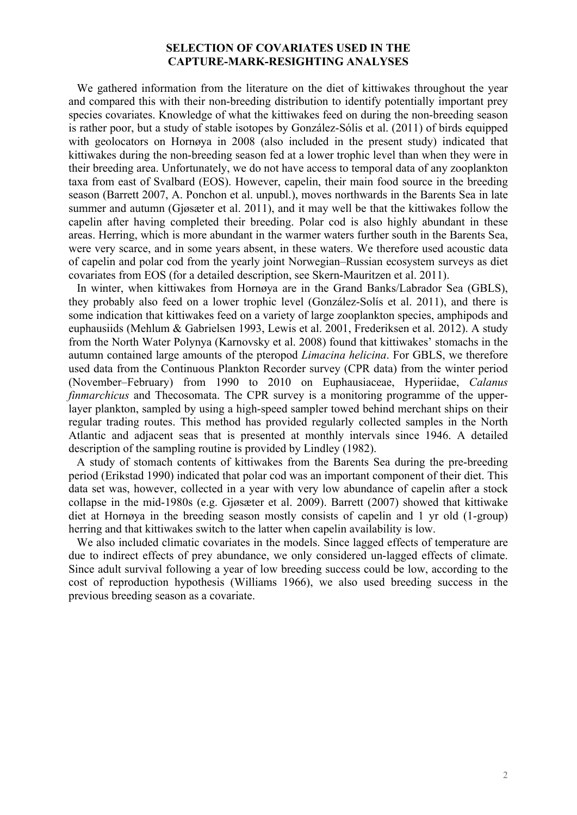## **SELECTION OF COVARIATES USED IN THE CAPTURE-MARK-RESIGHTING ANALYSES**

We gathered information from the literature on the diet of kittiwakes throughout the year and compared this with their non-breeding distribution to identify potentially important prey species covariates. Knowledge of what the kittiwakes feed on during the non-breeding season is rather poor, but a study of stable isotopes by González-Sólis et al. (2011) of birds equipped with geolocators on Hornøya in 2008 (also included in the present study) indicated that kittiwakes during the non-breeding season fed at a lower trophic level than when they were in their breeding area. Unfortunately, we do not have access to temporal data of any zooplankton taxa from east of Svalbard (EOS). However, capelin, their main food source in the breeding season (Barrett 2007, A. Ponchon et al. unpubl.), moves northwards in the Barents Sea in late summer and autumn (Gjøsæter et al. 2011), and it may well be that the kittiwakes follow the capelin after having completed their breeding. Polar cod is also highly abundant in these areas. Herring, which is more abundant in the warmer waters further south in the Barents Sea, were very scarce, and in some years absent, in these waters. We therefore used acoustic data of capelin and polar cod from the yearly joint Norwegian–Russian ecosystem surveys as diet covariates from EOS (for a detailed description, see Skern-Mauritzen et al. 2011).

In winter, when kittiwakes from Hornøya are in the Grand Banks/Labrador Sea (GBLS), they probably also feed on a lower trophic level (González-Solís et al. 2011), and there is some indication that kittiwakes feed on a variety of large zooplankton species, amphipods and euphausiids (Mehlum & Gabrielsen 1993, Lewis et al. 2001, Frederiksen et al. 2012). A study from the North Water Polynya (Karnovsky et al. 2008) found that kittiwakes' stomachs in the autumn contained large amounts of the pteropod *Limacina helicina*. For GBLS, we therefore used data from the Continuous Plankton Recorder survey (CPR data) from the winter period (November–February) from 1990 to 2010 on Euphausiaceae, Hyperiidae, *Calanus finmarchicus* and Thecosomata. The CPR survey is a monitoring programme of the upperlayer plankton, sampled by using a high-speed sampler towed behind merchant ships on their regular trading routes. This method has provided regularly collected samples in the North Atlantic and adjacent seas that is presented at monthly intervals since 1946. A detailed description of the sampling routine is provided by Lindley (1982).

A study of stomach contents of kittiwakes from the Barents Sea during the pre-breeding period (Erikstad 1990) indicated that polar cod was an important component of their diet. This data set was, however, collected in a year with very low abundance of capelin after a stock collapse in the mid-1980s (e.g. Gjøsæter et al. 2009). Barrett (2007) showed that kittiwake diet at Hornøya in the breeding season mostly consists of capelin and 1 yr old (1-group) herring and that kittiwakes switch to the latter when capelin availability is low.

We also included climatic covariates in the models. Since lagged effects of temperature are due to indirect effects of prey abundance, we only considered un-lagged effects of climate. Since adult survival following a year of low breeding success could be low, according to the cost of reproduction hypothesis (Williams 1966), we also used breeding success in the previous breeding season as a covariate.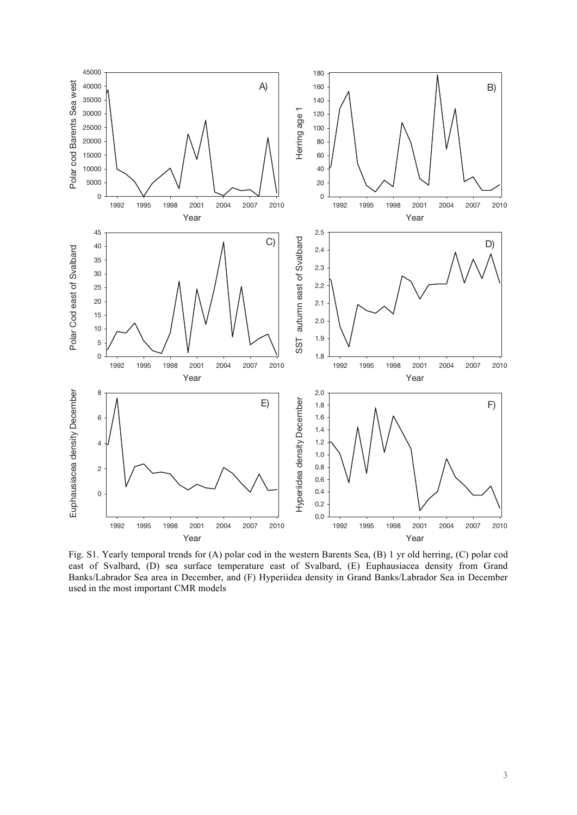

Fig. S1. Yearly temporal trends for (A) polar cod in the western Barents Sea, (B) 1 yr old herring, (C) polar cod east of Svalbard, (D) sea surface temperature east of Svalbard, (E) Euphausiacea density from Grand Banks/Labrador Sea area in December, and (F) Hyperiidea density in Grand Banks/Labrador Sea in December used in the most important CMR models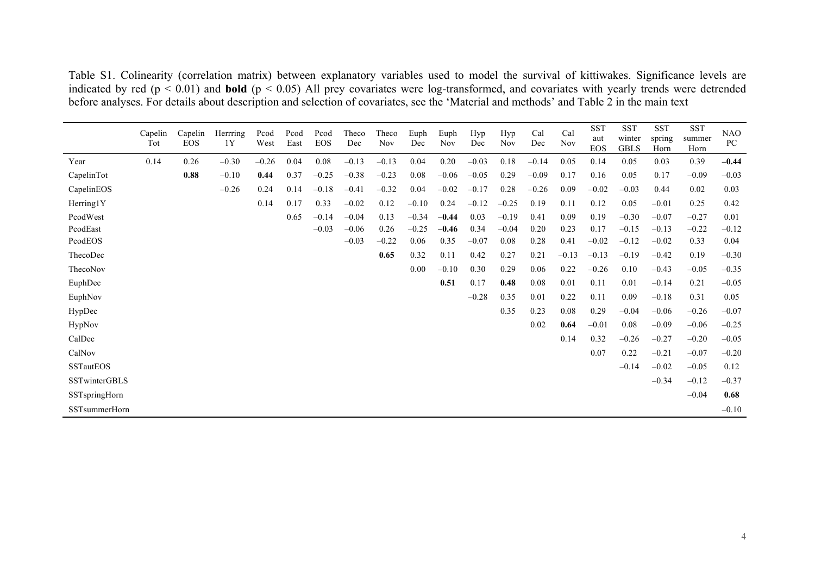Table S1. Colinearity (correlation matrix) between explanatory variables used to model the survival of kittiwakes. Significance levels are indicated by red (p < 0.01) and **bold** (p < 0.05) All prey covariates were log-transformed, and covariates with yearly trends were detrended before analyses. For details about description and selection of covariates, see the 'Material and methods' and Table 2 in the main text

|                      | Capelin<br>Tot | Capelin<br><b>EOS</b> | Herrring<br>1Y | Pcod<br>West | Pcod<br>East | Pcod<br><b>EOS</b> | Theco<br>Dec | Theco<br><b>Nov</b> | Euph<br>Dec | Euph<br>Nov | Hyp<br>Dec | Hyp<br><b>Nov</b> | Cal<br>Dec | Cal<br><b>Nov</b> | <b>SST</b><br>aut<br><b>EOS</b> | <b>SST</b><br>winter<br><b>GBLS</b> | <b>SST</b><br>spring<br>Horn | <b>SST</b><br>summer<br>Horn | NAO<br>PC |
|----------------------|----------------|-----------------------|----------------|--------------|--------------|--------------------|--------------|---------------------|-------------|-------------|------------|-------------------|------------|-------------------|---------------------------------|-------------------------------------|------------------------------|------------------------------|-----------|
| Year                 | 0.14           | 0.26                  | $-0.30$        | $-0.26$      | 0.04         | 0.08               | $-0.13$      | $-0.13$             | 0.04        | 0.20        | $-0.03$    | 0.18              | $-0.14$    | 0.05              | 0.14                            | 0.05                                | 0.03                         | 0.39                         | $-0.44$   |
| CapelinTot           |                | 0.88                  | $-0.10$        | 0.44         | 0.37         | $-0.25$            | $-0.38$      | $-0.23$             | 0.08        | $-0.06$     | $-0.05$    | 0.29              | $-0.09$    | 0.17              | 0.16                            | 0.05                                | 0.17                         | $-0.09$                      | $-0.03$   |
| CapelinEOS           |                |                       | $-0.26$        | 0.24         | 0.14         | $-0.18$            | $-0.41$      | $-0.32$             | 0.04        | $-0.02$     | $-0.17$    | 0.28              | $-0.26$    | 0.09              | $-0.02$                         | $-0.03$                             | 0.44                         | 0.02                         | 0.03      |
| Herring1Y            |                |                       |                | 0.14         | 0.17         | 0.33               | $-0.02$      | 0.12                | $-0.10$     | 0.24        | $-0.12$    | $-0.25$           | 0.19       | 0.11              | 0.12                            | 0.05                                | $-0.01$                      | 0.25                         | 0.42      |
| PcodWest             |                |                       |                |              | 0.65         | $-0.14$            | $-0.04$      | 0.13                | $-0.34$     | $-0.44$     | 0.03       | $-0.19$           | 0.41       | 0.09              | 0.19                            | $-0.30$                             | $-0.07$                      | $-0.27$                      | 0.01      |
| PcodEast             |                |                       |                |              |              | $-0.03$            | $-0.06$      | 0.26                | $-0.25$     | $-0.46$     | 0.34       | $-0.04$           | 0.20       | 0.23              | 0.17                            | $-0.15$                             | $-0.13$                      | $-0.22$                      | $-0.12$   |
| PcodEOS              |                |                       |                |              |              |                    | $-0.03$      | $-0.22$             | 0.06        | 0.35        | $-0.07$    | 0.08              | 0.28       | 0.41              | $-0.02$                         | $-0.12$                             | $-0.02$                      | 0.33                         | 0.04      |
| ThecoDec             |                |                       |                |              |              |                    |              | 0.65                | 0.32        | 0.11        | 0.42       | 0.27              | 0.21       | $-0.13$           | $-0.13$                         | $-0.19$                             | $-0.42$                      | 0.19                         | $-0.30$   |
| ThecoNov             |                |                       |                |              |              |                    |              |                     | 0.00        | $-0.10$     | 0.30       | 0.29              | 0.06       | 0.22              | $-0.26$                         | 0.10                                | $-0.43$                      | $-0.05$                      | $-0.35$   |
| EuphDec              |                |                       |                |              |              |                    |              |                     |             | 0.51        | 0.17       | 0.48              | 0.08       | 0.01              | 0.11                            | 0.01                                | $-0.14$                      | 0.21                         | $-0.05$   |
| EuphNov              |                |                       |                |              |              |                    |              |                     |             |             | $-0.28$    | 0.35              | 0.01       | 0.22              | 0.11                            | 0.09                                | $-0.18$                      | 0.31                         | 0.05      |
| HypDec               |                |                       |                |              |              |                    |              |                     |             |             |            | 0.35              | 0.23       | 0.08              | 0.29                            | $-0.04$                             | $-0.06$                      | $-0.26$                      | $-0.07$   |
| HypNov               |                |                       |                |              |              |                    |              |                     |             |             |            |                   | 0.02       | 0.64              | $-0.01$                         | $0.08\,$                            | $-0.09$                      | $-0.06$                      | $-0.25$   |
| CalDec               |                |                       |                |              |              |                    |              |                     |             |             |            |                   |            | 0.14              | 0.32                            | $-0.26$                             | $-0.27$                      | $-0.20$                      | $-0.05$   |
| CalNov               |                |                       |                |              |              |                    |              |                     |             |             |            |                   |            |                   | 0.07                            | 0.22                                | $-0.21$                      | $-0.07$                      | $-0.20$   |
| <b>SSTautEOS</b>     |                |                       |                |              |              |                    |              |                     |             |             |            |                   |            |                   |                                 | $-0.14$                             | $-0.02$                      | $-0.05$                      | 0.12      |
| <b>SSTwinterGBLS</b> |                |                       |                |              |              |                    |              |                     |             |             |            |                   |            |                   |                                 |                                     | $-0.34$                      | $-0.12$                      | $-0.37$   |
| SSTspringHorn        |                |                       |                |              |              |                    |              |                     |             |             |            |                   |            |                   |                                 |                                     |                              | $-0.04$                      | 0.68      |
| SSTsummerHorn        |                |                       |                |              |              |                    |              |                     |             |             |            |                   |            |                   |                                 |                                     |                              |                              | $-0.10$   |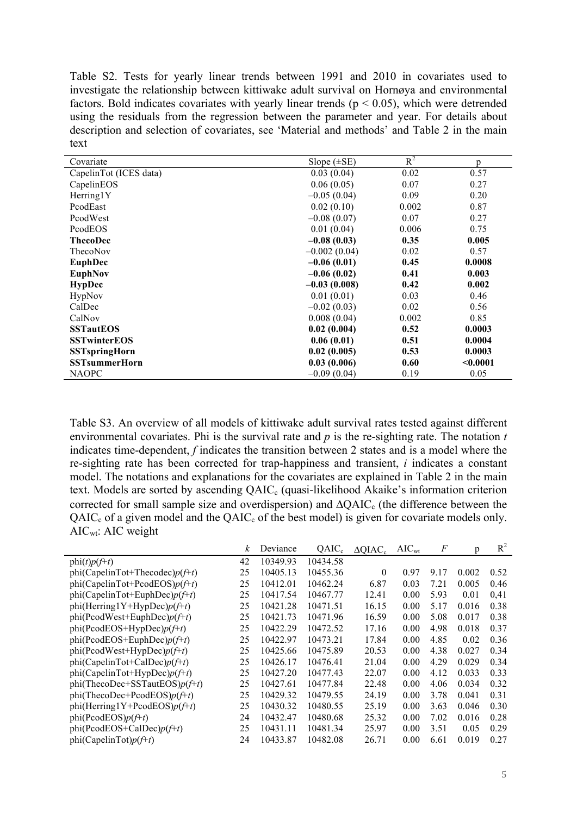Table S2. Tests for yearly linear trends between 1991 and 2010 in covariates used to investigate the relationship between kittiwake adult survival on Hornøya and environmental factors. Bold indicates covariates with yearly linear trends ( $p < 0.05$ ), which were detrended using the residuals from the regression between the parameter and year. For details about description and selection of covariates, see 'Material and methods' and Table 2 in the main text

| Covariate              | Slope $(\pm SE)$ | $R^2$ | p        |
|------------------------|------------------|-------|----------|
| CapelinTot (ICES data) | 0.03(0.04)       | 0.02  | 0.57     |
| CapelinEOS             | 0.06(0.05)       | 0.07  | 0.27     |
| Herring1Y              | $-0.05(0.04)$    | 0.09  | 0.20     |
| PcodEast               | 0.02(0.10)       | 0.002 | 0.87     |
| PcodWest               | $-0.08(0.07)$    | 0.07  | 0.27     |
| PcodEOS                | 0.01(0.04)       | 0.006 | 0.75     |
| <b>ThecoDec</b>        | $-0.08(0.03)$    | 0.35  | 0.005    |
| ThecoNov               | $-0.002(0.04)$   | 0.02  | 0.57     |
| <b>EuphDec</b>         | $-0.06(0.01)$    | 0.45  | 0.0008   |
| <b>EuphNov</b>         | $-0.06(0.02)$    | 0.41  | 0.003    |
| <b>HypDec</b>          | $-0.03(0.008)$   | 0.42  | 0.002    |
| HypNov                 | 0.01(0.01)       | 0.03  | 0.46     |
| CalDec                 | $-0.02(0.03)$    | 0.02  | 0.56     |
| CalNov                 | 0.008(0.04)      | 0.002 | 0.85     |
| <b>SSTautEOS</b>       | 0.02(0.004)      | 0.52  | 0.0003   |
| <b>SSTwinterEOS</b>    | 0.06(0.01)       | 0.51  | 0.0004   |
| <b>SSTspringHorn</b>   | 0.02(0.005)      | 0.53  | 0.0003   |
| <b>SSTsummerHorn</b>   | 0.03(0.006)      | 0.60  | < 0.0001 |
| <b>NAOPC</b>           | $-0.09(0.04)$    | 0.19  | 0.05     |

Table S3. An overview of all models of kittiwake adult survival rates tested against different environmental covariates. Phi is the survival rate and *p* is the re-sighting rate. The notation *t* indicates time-dependent, *f* indicates the transition between 2 states and is a model where the re-sighting rate has been corrected for trap-happiness and transient, *i* indicates a constant model. The notations and explanations for the covariates are explained in Table 2 in the main text. Models are sorted by ascending QAIC<sub>c</sub> (quasi-likelihood Akaike's information criterion corrected for small sample size and overdispersion) and  $\Delta QAIC_c$  (the difference between the  $QAIC_c$  of a given model and the  $QAIC_c$  of the best model) is given for covariate models only.  $AIC_{wt}$ : AIC weight

|                                     | k  | Deviance | $QAIC_c$ | $\triangle$ QIAC <sub>c</sub> | $AIC_{wt}$ | $\,F$ | p     | $R^2$ |
|-------------------------------------|----|----------|----------|-------------------------------|------------|-------|-------|-------|
| $phi(t)p(f+t)$                      | 42 | 10349.93 | 10434.58 |                               |            |       |       |       |
| $phi(CapelinTot+Thecodec)p(f+t)$    | 25 | 10405.13 | 10455.36 | $\theta$                      | 0.97       | 9.17  | 0.002 | 0.52  |
| phi(CapelinTot+PcodEOS) $p(f+t)$    | 25 | 10412.01 | 10462.24 | 6.87                          | 0.03       | 7.21  | 0.005 | 0.46  |
| phi(CapelinTot+EuphDec) $p(f+t)$    | 25 | 10417.54 | 10467.77 | 12.41                         | 0.00       | 5.93  | 0.01  | 0,41  |
| $phi(Herring1Y+HypDec)p(f+t)$       | 25 | 10421.28 | 10471.51 | 16.15                         | 0.00       | 5.17  | 0.016 | 0.38  |
| $phi(PcodWest+EuphDec)p(f+t)$       | 25 | 10421.73 | 10471.96 | 16.59                         | 0.00       | 5.08  | 0.017 | 0.38  |
| $phi(PcodEOS+HypDec)p(f+t)$         | 25 | 10422.29 | 10472.52 | 17.16                         | 0.00       | 4.98  | 0.018 | 0.37  |
| $phi(PcodEOS + EuphDec)p(f+t)$      | 25 | 10422.97 | 10473.21 | 17.84                         | 0.00       | 4.85  | 0.02  | 0.36  |
| $phi(PcodWest+HypDec)p(f+t)$        | 25 | 10425.66 | 10475.89 | 20.53                         | 0.00       | 4.38  | 0.027 | 0.34  |
| phi(CapelinTot+CalDec) $p(f+t)$     | 25 | 10426.17 | 10476.41 | 21.04                         | 0.00       | 4.29  | 0.029 | 0.34  |
| phi(CapelinTot+HypDec) $p(f+t)$     | 25 | 10427.20 | 10477.43 | 22.07                         | 0.00       | 4.12  | 0.033 | 0.33  |
| $phi($ ThecoDec+SSTautEOS $)p(f+t)$ | 25 | 10427.61 | 10477.84 | 22.48                         | 0.00       | 4.06  | 0.034 | 0.32  |
| $phi($ ThecoDec+PcodEOS) $p(f+t)$   | 25 | 10429.32 | 10479.55 | 24.19                         | 0.00       | 3.78  | 0.041 | 0.31  |
| phi(Herring1Y+PcodEOS) $p(f+t)$     | 25 | 10430.32 | 10480.55 | 25.19                         | 0.00       | 3.63  | 0.046 | 0.30  |
| $phi(PcodeOS)p(f+t)$                | 24 | 10432.47 | 10480.68 | 25.32                         | 0.00       | 7.02  | 0.016 | 0.28  |
| $phi(PcodEOS + CalDec)p(f+t)$       | 25 | 10431.11 | 10481.34 | 25.97                         | 0.00       | 3.51  | 0.05  | 0.29  |
| phi(CapelinTot) $p(f+t)$            | 24 | 10433.87 | 10482.08 | 26.71                         | 0.00       | 6.61  | 0.019 | 0.27  |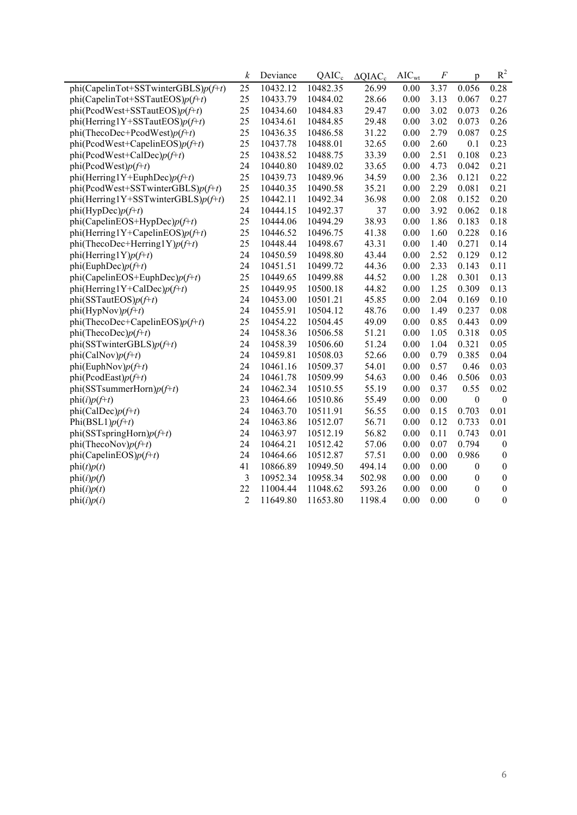|                                        | k              | Deviance | $QAIC_c$ | $\triangle QIAC_c$ | $AIC_{wt}$ | F    | p                | $R^2$            |
|----------------------------------------|----------------|----------|----------|--------------------|------------|------|------------------|------------------|
| phi(CapelinTot+SSTwinterGBLS) $p(f+t)$ | 25             | 10432.12 | 10482.35 | 26.99              | 0.00       | 3.37 | 0.056            | 0.28             |
| phi(CapelinTot+SSTautEOS) $p(f+t)$     | 25             | 10433.79 | 10484.02 | 28.66              | 0.00       | 3.13 | 0.067            | 0.27             |
| $phi(PcodWest + SSTautEOS)p(f+t)$      | 25             | 10434.60 | 10484.83 | 29.47              | 0.00       | 3.02 | 0.073            | 0.26             |
| phi(Herring1Y+SSTautEOS) $p(f+t)$      | 25             | 10434.61 | 10484.85 | 29.48              | 0.00       | 3.02 | 0.073            | 0.26             |
| $phi($ ThecoDec+PcodWest $)p(f+t)$     | 25             | 10436.35 | 10486.58 | 31.22              | 0.00       | 2.79 | 0.087            | 0.25             |
| $phi(PcodWest + CapelinEOS)p(f+t)$     | 25             | 10437.78 | 10488.01 | 32.65              | 0.00       | 2.60 | 0.1              | 0.23             |
| phi(PcodWest+CalDec) $p(f+t)$          | 25             | 10438.52 | 10488.75 | 33.39              | 0.00       | 2.51 | 0.108            | 0.23             |
| $phi(PcodWest)p(f+t)$                  | 24             | 10440.80 | 10489.02 | 33.65              | 0.00       | 4.73 | 0.042            | 0.21             |
| phi(Herring1Y+EuphDec) $p(f+t)$        | 25             | 10439.73 | 10489.96 | 34.59              | 0.00       | 2.36 | 0.121            | 0.22             |
| $phi(PcodWest + SSTwinter GBLS)p(f+t)$ | 25             | 10440.35 | 10490.58 | 35.21              | 0.00       | 2.29 | 0.081            | 0.21             |
| phi(Herring1Y+SSTwinterGBLS)p(f+t)     | 25             | 10442.11 | 10492.34 | 36.98              | 0.00       | 2.08 | 0.152            | 0.20             |
| $phi(HypDec)p(f+t)$                    | 24             | 10444.15 | 10492.37 | 37                 | 0.00       | 3.92 | 0.062            | 0.18             |
| phi(CapelinEOS+HypDec) $p(f+t)$        | 25             | 10444.06 | 10494.29 | 38.93              | 0.00       | 1.86 | 0.183            | 0.18             |
| phi(Herring1Y+CapelinEOS) $p(f+t)$     | 25             | 10446.52 | 10496.75 | 41.38              | 0.00       | 1.60 | 0.228            | 0.16             |
| phi(ThecoDec+Herring1Y) $p(f+t)$       | 25             | 10448.44 | 10498.67 | 43.31              | 0.00       | 1.40 | 0.271            | 0.14             |
| phi(Herring1Y) $p(f+t)$                | 24             | 10450.59 | 10498.80 | 43.44              | 0.00       | 2.52 | 0.129            | 0.12             |
| phi(EuphDec) $p(f+t)$                  | 24             | 10451.51 | 10499.72 | 44.36              | 0.00       | 2.33 | 0.143            | 0.11             |
| phi(CapelinEOS+EuphDec) $p(f+t)$       | 25             | 10449.65 | 10499.88 | 44.52              | 0.00       | 1.28 | 0.301            | 0.13             |
| phi(Herring1Y+CalDec) $p(f+t)$         | 25             | 10449.95 | 10500.18 | 44.82              | 0.00       | 1.25 | 0.309            | 0.13             |
| $phi(SSTautEOS)p(f+t)$                 | 24             | 10453.00 | 10501.21 | 45.85              | 0.00       | 2.04 | 0.169            | 0.10             |
| $phi(HypNov)p(f+t)$                    | 24             | 10455.91 | 10504.12 | 48.76              | 0.00       | 1.49 | 0.237            | 0.08             |
| phi(ThecoDec+CapelinEOS) $p(f+t)$      | 25             | 10454.22 | 10504.45 | 49.09              | 0.00       | 0.85 | 0.443            | 0.09             |
| phi(ThecoDec) $p(f+t)$                 | 24             | 10458.36 | 10506.58 | 51.21              | 0.00       | 1.05 | 0.318            | 0.05             |
| phi(SSTwinterGBLS) $p(f+t)$            | 24             | 10458.39 | 10506.60 | 51.24              | 0.00       | 1.04 | 0.321            | 0.05             |
| $phi(CalNov)p(f+t)$                    | 24             | 10459.81 | 10508.03 | 52.66              | 0.00       | 0.79 | 0.385            | 0.04             |
| phi(EuphNov) $p(f+t)$                  | 24             | 10461.16 | 10509.37 | 54.01              | 0.00       | 0.57 | 0.46             | 0.03             |
| $phi(PcodEast)p(f+t)$                  | 24             | 10461.78 | 10509.99 | 54.63              | 0.00       | 0.46 | 0.506            | 0.03             |
| phi(SSTsummerHorn) $p(f+t)$            | 24             | 10462.34 | 10510.55 | 55.19              | 0.00       | 0.37 | 0.55             | 0.02             |
| $phi(i)p(f+t)$                         | 23             | 10464.66 | 10510.86 | 55.49              | 0.00       | 0.00 | $\boldsymbol{0}$ | $\boldsymbol{0}$ |
| phi(CalDec) $p(f+t)$                   | 24             | 10463.70 | 10511.91 | 56.55              | 0.00       | 0.15 | 0.703            | 0.01             |
| Phi $(BSL1)p(f+t)$                     | 24             | 10463.86 | 10512.07 | 56.71              | 0.00       | 0.12 | 0.733            | 0.01             |
| phi(SSTspringHorn) $p(f+t)$            | 24             | 10463.97 | 10512.19 | 56.82              | 0.00       | 0.11 | 0.743            | 0.01             |
| phi(ThecoNov) $p(f+t)$                 | 24             | 10464.21 | 10512.42 | 57.06              | 0.00       | 0.07 | 0.794            | $\boldsymbol{0}$ |
| phi(CapelinEOS) $p(f+t)$               | 24             | 10464.66 | 10512.87 | 57.51              | 0.00       | 0.00 | 0.986            | $\boldsymbol{0}$ |
| phi(t)p(t)                             | 41             | 10866.89 | 10949.50 | 494.14             | 0.00       | 0.00 | 0                | $\boldsymbol{0}$ |
| phi(i)p(f)                             | 3              | 10952.34 | 10958.34 | 502.98             | 0.00       | 0.00 | $\boldsymbol{0}$ | $\boldsymbol{0}$ |
| phi(i)p(t)                             | 22             | 11004.44 | 11048.62 | 593.26             | 0.00       | 0.00 | $\boldsymbol{0}$ | $\boldsymbol{0}$ |
| phi(i)p(i)                             | $\overline{2}$ | 11649.80 | 11653.80 | 1198.4             | 0.00       | 0.00 | $\boldsymbol{0}$ | $\boldsymbol{0}$ |